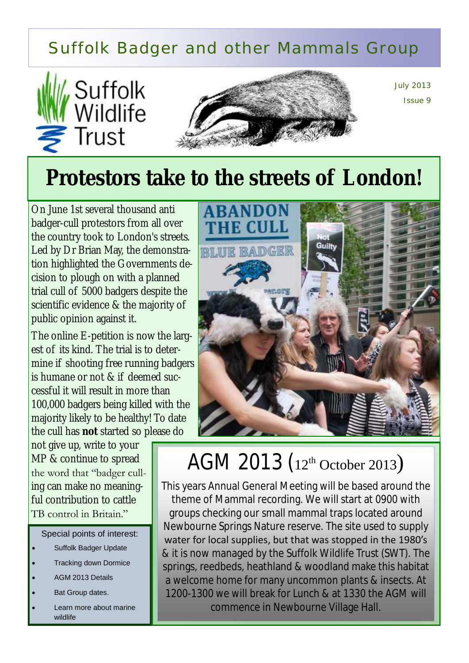### Suffolk Badger and other Mammals Group





July 2013 Issue 9

# **Protestors take to the streets of London!**

On June 1st several thousand anti badger-cull protestors from all over the country took to London's streets. Led by Dr Brian May, the demonstration highlighted the Governments decision to plough on with a planned trial cull of 5000 badgers despite the scientific evidence & the majority of public opinion against it.

The online E-petition is now the largest of its kind. The trial is to determine if shooting free running badgers is humane or not & if deemed successful it will result in more than 100,000 badgers being killed with the majority likely to be healthy! To date the cull has **not** started so please do

not give up, write to your MP & continue to spread the word that "badger culling can make no meaningful contribution to cattle TB control in Britain."

Special points of interest:

- Suffolk Badger Update
- Tracking down Dormice
- AGM 2013 Details
- Bat Group dates.
- Learn more about marine wildlife



## AGM 2013 (12th October 2013)

This years Annual General Meeting will be based around the theme of Mammal recording. We will start at 0900 with groups checking our small mammal traps located around Newbourne Springs Nature reserve. The site used to supply water for local supplies, but that was stopped in the 1980's & it is now managed by the Suffolk Wildlife Trust (SWT). The springs, reedbeds, heathland & woodland make this habitat a welcome home for many uncommon plants & insects. At 1200-1300 we will break for Lunch & at 1330 the AGM will commence in Newbourne Village Hall.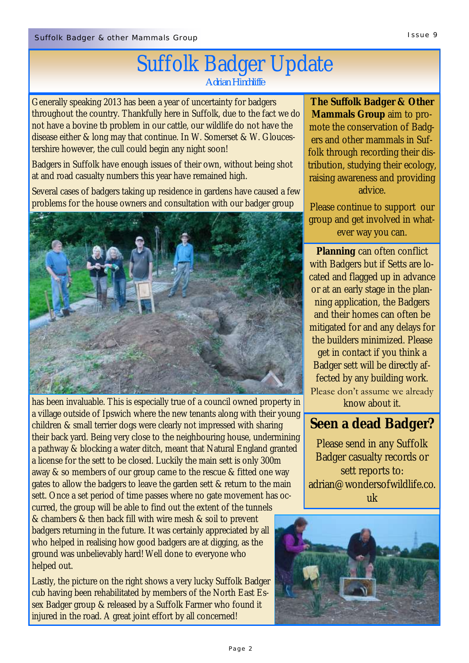# Suffolk Badger Update

*Adrian Hinchliffe*

Generally speaking 2013 has been a year of uncertainty for badgers throughout the country. Thankfully here in Suffolk, due to the fact we do not have a bovine tb problem in our cattle, our wildlife do not have the disease either & long may that continue. In W. Somerset & W. Gloucestershire however, the cull could begin any night soon!

Badgers in Suffolk have enough issues of their own, without being shot at and road casualty numbers this year have remained high.

Several cases of badgers taking up residence in gardens have caused a few problems for the house owners and consultation with our badger group



has been invaluable. This is especially true of a council owned property in a village outside of Ipswich where the new tenants along with their young children & small terrier dogs were clearly not impressed with sharing their back yard. Being very close to the neighbouring house, undermining a pathway & blocking a water ditch, meant that Natural England granted a license for the sett to be closed. Luckily the main sett is only 300m away & so members of our group came to the rescue & fitted one way gates to allow the badgers to leave the garden sett & return to the main sett. Once a set period of time passes where no gate movement has occurred, the group will be able to find out the extent of the tunnels

& chambers & then back fill with wire mesh & soil to prevent badgers returning in the future. It was certainly appreciated by all who helped in realising how good badgers are at digging, as the ground was unbelievably hard! Well done to everyone who helped out.

Lastly, the picture on the right shows a very lucky Suffolk Badger cub having been rehabilitated by members of the North East Essex Badger group & released by a Suffolk Farmer who found it injured in the road. A great joint effort by all concerned!

**The Suffolk Badger & Other Mammals Group** aim to promote the conservation of Badgers and other mammals in Suffolk through recording their distribution, studying their ecology, raising awareness and providing advice.

Please continue to support our group and get involved in whatever way you can.

**Planning** can often conflict with Badgers but if Setts are located and flagged up in advance or at an early stage in the planning application, the Badgers and their homes can often be mitigated for and any delays for the builders minimized. Please get in contact if you think a Badger sett will be directly affected by any building work. Please don't assume we already know about it.

**Seen a dead Badger?**

Please send in any Suffolk Badger casualty records or sett reports to: adrian@wondersofwildlife.co. uk

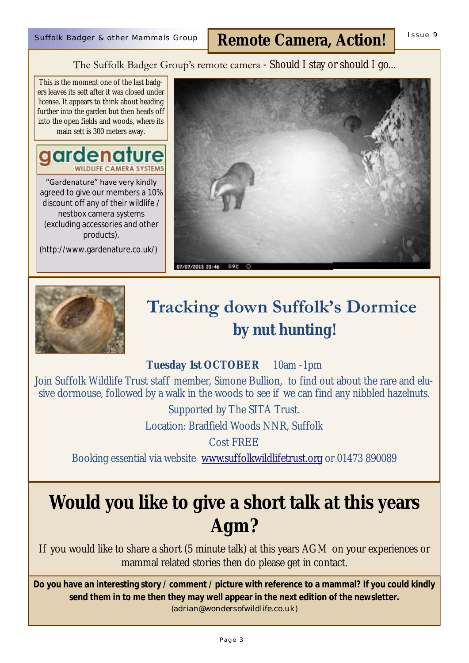#### The Suffolk Badger Group's remote camera - Should I stay or should I go...

This is the moment one of the last badgers leaves its sett after it was closed under license. It appears to think about heading further into the garden but then heads off into the open fields and woods, where its main sett is 300 meters away.



"Gardenature" have very kindly agreed to give our members a 10% discount off any of their wildlife / nestbox camera systems (excluding accessories and other products).

(http://www.gardenature.co.uk/)





### **Tracking down Suffolk's Dormice by nut hunting!**

**Tuesday 1st OCTOBER** 10am -1pm

Join Suffolk Wildlife Trust staff member, Simone Bullion, to find out about the rare and elusive dormouse, followed by a walk in the woods to see if we can find any nibbled hazelnuts.

Supported by The SITA Trust.

Location: Bradfield Woods NNR, Suffolk

Cost FREE

Booking essential via website [www.suffolkwildlifetrust.org](http://www.suffolkwildlifetrust.org) or 01473 890089

### **Would you like to give a short talk at this years Agm?**

If you would like to share a short (5 minute talk) at this years AGM on your experiences or mammal related stories then do please get in contact.

**Do you have an interesting story / comment / picture with reference to a mammal? If you could kindly send them in to me then they may well appear in the next edition of the newsletter.**  (adrian@wondersofwildlife.co.uk)